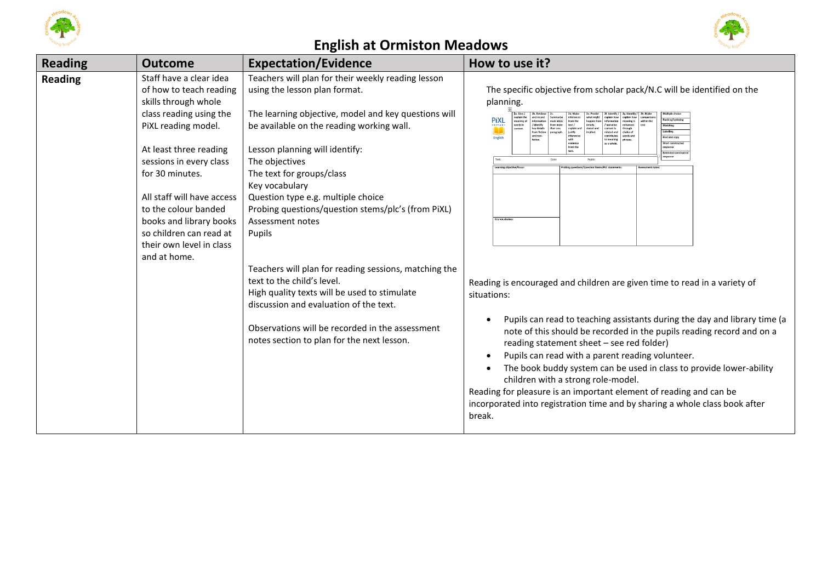





| <b>Reading</b> | <b>Outcome</b>                                                                                                                                                                                                                                                                                                                                               | <b>Expectation/Evidence</b>                                                                                                                                                                                                                                                                                                                                                                                                                                                                                                                                                                                                                                                                             | How to use it?                                                                                                                                                                                                                                                                                                                                                                                                                                                                                                                                                                                                                                                                                                                                                                                                                                                                                                                                                                                                                                             |
|----------------|--------------------------------------------------------------------------------------------------------------------------------------------------------------------------------------------------------------------------------------------------------------------------------------------------------------------------------------------------------------|---------------------------------------------------------------------------------------------------------------------------------------------------------------------------------------------------------------------------------------------------------------------------------------------------------------------------------------------------------------------------------------------------------------------------------------------------------------------------------------------------------------------------------------------------------------------------------------------------------------------------------------------------------------------------------------------------------|------------------------------------------------------------------------------------------------------------------------------------------------------------------------------------------------------------------------------------------------------------------------------------------------------------------------------------------------------------------------------------------------------------------------------------------------------------------------------------------------------------------------------------------------------------------------------------------------------------------------------------------------------------------------------------------------------------------------------------------------------------------------------------------------------------------------------------------------------------------------------------------------------------------------------------------------------------------------------------------------------------------------------------------------------------|
| <b>Reading</b> | Staff have a clear idea<br>of how to teach reading<br>skills through whole<br>class reading using the<br>PiXL reading model.<br>At least three reading<br>sessions in every class<br>for 30 minutes.<br>All staff will have access<br>to the colour banded<br>books and library books<br>so children can read at<br>their own level in class<br>and at home. | Teachers will plan for their weekly reading lesson<br>using the lesson plan format.<br>The learning objective, model and key questions will<br>be available on the reading working wall.<br>Lesson planning will identify:<br>The objectives<br>The text for groups/class<br>Key vocabulary<br>Question type e.g. multiple choice<br>Probing questions/question stems/plc's (from PiXL)<br>Assessment notes<br>Pupils<br>Teachers will plan for reading sessions, matching the<br>text to the child's level.<br>High quality texts will be used to stimulate<br>discussion and evaluation of the text.<br>Observations will be recorded in the assessment<br>notes section to plan for the next lesson. | The specific objective from scholar pack/N.C will be identified on the<br>planning.<br><b>PiXL</b><br>neaning o<br>words in<br>.<br>rom more<br>identify<br>Matching<br>key details<br>n<br>Labelling<br>related and<br>from fiction<br>justify<br>hoice of<br>ontributes<br>Find and copy<br>English<br>to meaning<br>evidence<br>from the<br>s a whole<br>Short constructe<br>esponse<br>Date:<br>Pupils:<br>Key yocabula<br>Reading is encouraged and children are given time to read in a variety of<br>situations:<br>Pupils can read to teaching assistants during the day and library time (a<br>note of this should be recorded in the pupils reading record and on a<br>reading statement sheet - see red folder)<br>Pupils can read with a parent reading volunteer.<br>The book buddy system can be used in class to provide lower-ability<br>children with a strong role-model.<br>Reading for pleasure is an important element of reading and can be<br>incorporated into registration time and by sharing a whole class book after<br>break. |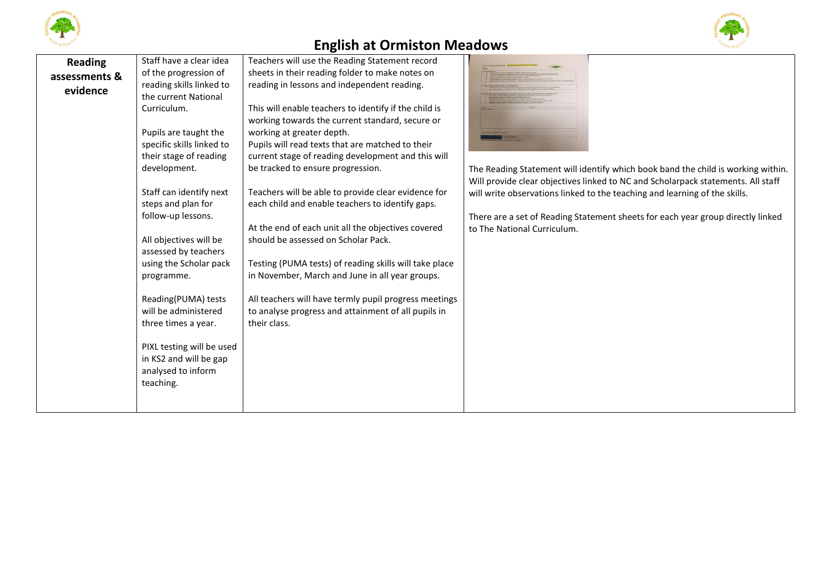



| <b>Reading</b> | Staff have a clear idea   | Teachers will use the Reading Statement record         |                                                                                  |
|----------------|---------------------------|--------------------------------------------------------|----------------------------------------------------------------------------------|
| assessments &  | of the progression of     | sheets in their reading folder to make notes on        |                                                                                  |
| evidence       | reading skills linked to  | reading in lessons and independent reading.            |                                                                                  |
|                | the current National      |                                                        |                                                                                  |
|                | Curriculum.               | This will enable teachers to identify if the child is  |                                                                                  |
|                |                           | working towards the current standard, secure or        |                                                                                  |
|                | Pupils are taught the     | working at greater depth.                              | <b>STATISTICS</b>                                                                |
|                | specific skills linked to | Pupils will read texts that are matched to their       |                                                                                  |
|                | their stage of reading    | current stage of reading development and this will     |                                                                                  |
|                | development.              | be tracked to ensure progression.                      | The Reading Statement will identify which book band the child is working within. |
|                |                           |                                                        | Will provide clear objectives linked to NC and Scholarpack statements. All staff |
|                | Staff can identify next   | Teachers will be able to provide clear evidence for    | will write observations linked to the teaching and learning of the skills.       |
|                | steps and plan for        | each child and enable teachers to identify gaps.       |                                                                                  |
|                | follow-up lessons.        |                                                        | There are a set of Reading Statement sheets for each year group directly linked  |
|                |                           | At the end of each unit all the objectives covered     | to The National Curriculum.                                                      |
|                | All objectives will be    | should be assessed on Scholar Pack.                    |                                                                                  |
|                | assessed by teachers      |                                                        |                                                                                  |
|                | using the Scholar pack    | Testing (PUMA tests) of reading skills will take place |                                                                                  |
|                | programme.                | in November, March and June in all year groups.        |                                                                                  |
|                | Reading(PUMA) tests       | All teachers will have termly pupil progress meetings  |                                                                                  |
|                | will be administered      | to analyse progress and attainment of all pupils in    |                                                                                  |
|                | three times a year.       | their class.                                           |                                                                                  |
|                |                           |                                                        |                                                                                  |
|                | PIXL testing will be used |                                                        |                                                                                  |
|                | in KS2 and will be gap    |                                                        |                                                                                  |
|                | analysed to inform        |                                                        |                                                                                  |
|                | teaching.                 |                                                        |                                                                                  |
|                |                           |                                                        |                                                                                  |
|                |                           |                                                        |                                                                                  |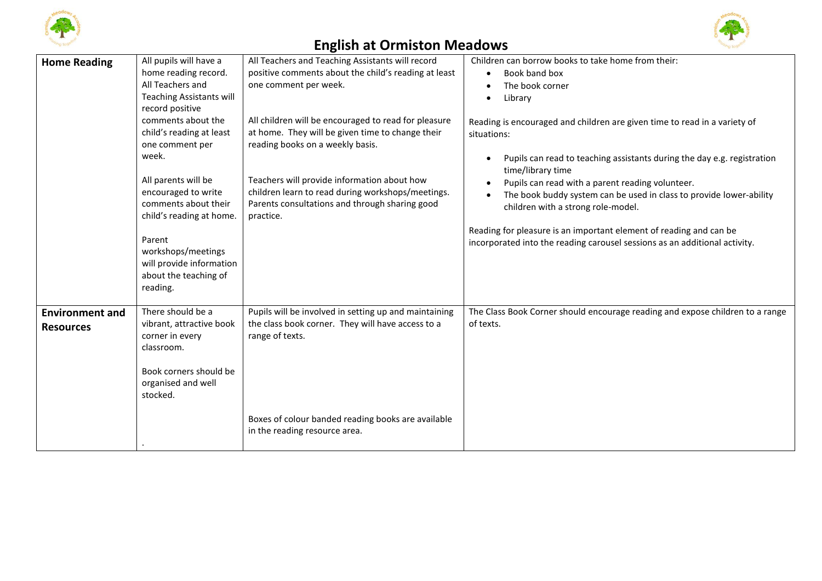



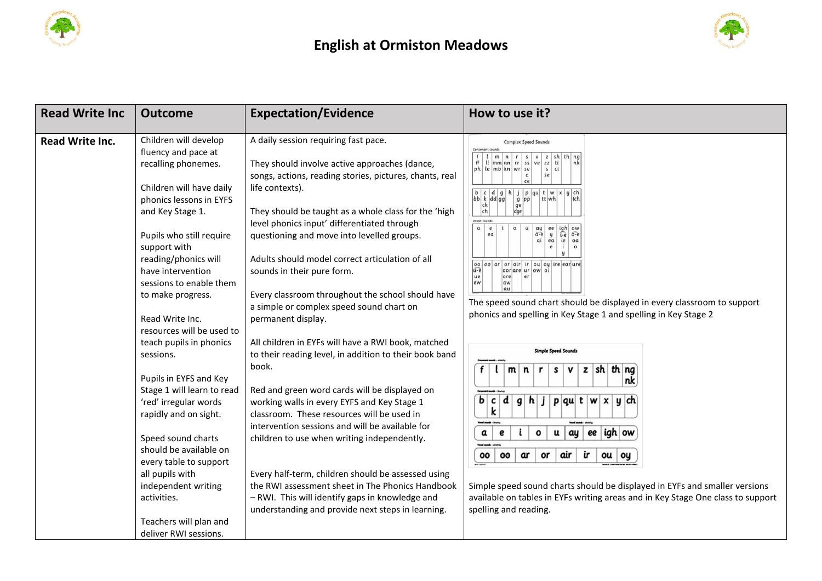



| <b>Read Write Inc</b> | <b>Outcome</b>                                                                                                                                                                                                                                                                                                                                                    | <b>Expectation/Evidence</b>                                                                                                                                                                                                                                                                                                                                                                                                                                                                                                                                                             | How to use it?                                                                                                                                                                                                                                                                                                                                                                                                                                                                                                                                                                                                                                                                                             |
|-----------------------|-------------------------------------------------------------------------------------------------------------------------------------------------------------------------------------------------------------------------------------------------------------------------------------------------------------------------------------------------------------------|-----------------------------------------------------------------------------------------------------------------------------------------------------------------------------------------------------------------------------------------------------------------------------------------------------------------------------------------------------------------------------------------------------------------------------------------------------------------------------------------------------------------------------------------------------------------------------------------|------------------------------------------------------------------------------------------------------------------------------------------------------------------------------------------------------------------------------------------------------------------------------------------------------------------------------------------------------------------------------------------------------------------------------------------------------------------------------------------------------------------------------------------------------------------------------------------------------------------------------------------------------------------------------------------------------------|
| Read Write Inc.       | Children will develop<br>fluency and pace at<br>recalling phonemes.<br>Children will have daily<br>phonics lessons in EYFS<br>and Key Stage 1.<br>Pupils who still require<br>support with<br>reading/phonics will<br>have intervention<br>sessions to enable them<br>to make progress.<br>Read Write Inc.                                                        | A daily session requiring fast pace.<br>They should involve active approaches (dance,<br>songs, actions, reading stories, pictures, chants, real<br>life contexts).<br>They should be taught as a whole class for the 'high<br>level phonics input' differentiated through<br>questioning and move into levelled groups.<br>Adults should model correct articulation of all<br>sounds in their pure form.<br>Every classroom throughout the school should have<br>a simple or complex speed sound chart on<br>permanent display.                                                        | <b>Complex Speed Sounds</b><br>Consonant sound<br> m n r s v z sh th nq<br>ss ve zz ti<br>nk<br>$\lfloor \lfloor m m \rfloor$ nn $\lfloor rr \rfloor$<br>$ ph $ le $mb kn $ wr se<br>$s$ ci<br>se<br>ce<br> b c d g h <br>j   p   qu   t   w   x   y   ch<br>$bbk$ $d$ $gg$<br>$g$ $pp$<br>ttwh<br>tch<br>ck<br>ge<br>ch<br>Vowel sounds<br>$\alpha$<br>$\pmb{e}$<br>$\circ$<br>ay<br>a-e<br>$i-e$ $o-e$<br>ea<br>y<br>ea<br>ie<br>0a<br>e<br>$\circ$<br>00 00 ar or air ir ou oy ire ear ure<br>$u - e$<br>oor are ur ow oi<br>lue<br>ore<br>$_{Pl}$<br>lew<br>The speed sound chart should be displayed in every classroom to support<br>phonics and spelling in Key Stage 1 and spelling in Key Stage 2 |
|                       | resources will be used to<br>teach pupils in phonics<br>sessions.<br>Pupils in EYFS and Key<br>Stage 1 will learn to read<br>'red' irregular words<br>rapidly and on sight.<br>Speed sound charts<br>should be available on<br>every table to support<br>all pupils with<br>independent writing<br>activities.<br>Teachers will plan and<br>deliver RWI sessions. | All children in EYFs will have a RWI book, matched<br>to their reading level, in addition to their book band<br>book.<br>Red and green word cards will be displayed on<br>working walls in every EYFS and Key Stage 1<br>classroom. These resources will be used in<br>intervention sessions and will be available for<br>children to use when writing independently.<br>Every half-term, children should be assessed using<br>the RWI assessment sheet in The Phonics Handbook<br>- RWI. This will identify gaps in knowledge and<br>understanding and provide next steps in learning. | Simple Speed Sounds<br>$z \,$ sh th ng<br>f<br>$m \mid n$<br>S<br>v<br>r<br>nk<br>$\mathbf{b}$<br>d<br>h<br>j   p   qu   t   w<br>$\mathbf{g}$<br>∣y  ch<br>c<br>$\mathbf{x}$<br>k<br>igh ow<br>$\pmb{a}$<br>ay<br>ee<br>e<br>o<br>u<br><b>The County</b><br>ir<br>air<br>00<br>ar<br>or<br>ou<br>00<br>oy<br>Simple speed sound charts should be displayed in EYFs and smaller versions<br>available on tables in EYFs writing areas and in Key Stage One class to support<br>spelling and reading.                                                                                                                                                                                                       |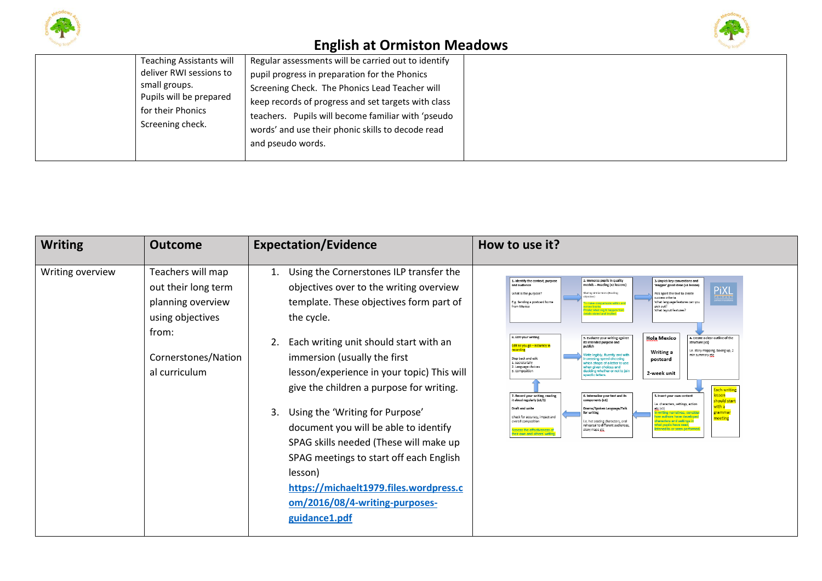





| <b>Teaching Assistants will</b><br>deliver RWI sessions to<br>small groups.<br>Pupils will be prepared<br>for their Phonics<br>Screening check. | Regular assessments will be carried out to identify<br>pupil progress in preparation for the Phonics<br>Screening Check. The Phonics Lead Teacher will<br>keep records of progress and set targets with class<br>teachers. Pupils will become familiar with 'pseudo<br>words' and use their phonic skills to decode read<br>and pseudo words. |
|-------------------------------------------------------------------------------------------------------------------------------------------------|-----------------------------------------------------------------------------------------------------------------------------------------------------------------------------------------------------------------------------------------------------------------------------------------------------------------------------------------------|
|-------------------------------------------------------------------------------------------------------------------------------------------------|-----------------------------------------------------------------------------------------------------------------------------------------------------------------------------------------------------------------------------------------------------------------------------------------------------------------------------------------------|

| <b>Writing</b>   | <b>Outcome</b>                                                                                                                     | <b>Expectation/Evidence</b>                                                                                                                                                                                                                                                                                                                                                                                                                                                                                                                                                                                | How to use it?                                                                                                                                                                                                                                                                                                                                                                                                                                                                                                                                                                                                                                                                                                                                                                                                                                                                                                                                                                                                                                                                                                                                                                                                                                                                                                                                                                                                                                                                                                                                                                                                                                                                                                                                                                                                                                                                                                          |
|------------------|------------------------------------------------------------------------------------------------------------------------------------|------------------------------------------------------------------------------------------------------------------------------------------------------------------------------------------------------------------------------------------------------------------------------------------------------------------------------------------------------------------------------------------------------------------------------------------------------------------------------------------------------------------------------------------------------------------------------------------------------------|-------------------------------------------------------------------------------------------------------------------------------------------------------------------------------------------------------------------------------------------------------------------------------------------------------------------------------------------------------------------------------------------------------------------------------------------------------------------------------------------------------------------------------------------------------------------------------------------------------------------------------------------------------------------------------------------------------------------------------------------------------------------------------------------------------------------------------------------------------------------------------------------------------------------------------------------------------------------------------------------------------------------------------------------------------------------------------------------------------------------------------------------------------------------------------------------------------------------------------------------------------------------------------------------------------------------------------------------------------------------------------------------------------------------------------------------------------------------------------------------------------------------------------------------------------------------------------------------------------------------------------------------------------------------------------------------------------------------------------------------------------------------------------------------------------------------------------------------------------------------------------------------------------------------------|
| Writing overview | Teachers will map<br>out their long term<br>planning overview<br>using objectives<br>from:<br>Cornerstones/Nation<br>al curriculum | Using the Cornerstones ILP transfer the<br>1.<br>objectives over to the writing overview<br>template. These objectives form part of<br>the cycle.<br>Each writing unit should start with an<br>2.<br>immersion (usually the first<br>lesson/experience in your topic) This will<br>give the children a purpose for writing.<br>Using the 'Writing for Purpose'<br>3.<br>document you will be able to identify<br>SPAG skills needed (These will make up<br>SPAG meetings to start off each English<br>lesson)<br>https://michaelt1979.files.wordpress.c<br>om/2016/08/4-writing-purposes-<br>guidance1.pdf | 2. Immerse pupils in quality<br>1. Identify the context, purpose<br>3. Unpick key conventions and<br>models - Reading (x2 lessons)<br>and audience<br>'magpie' good ideas (x1 lesson)<br><b>PiXL</b><br>Sharing similar texts (Reading<br>Pick apart the text to create<br>What is the purpose?<br>P R I M A R Y<br>hiertivel<br>success criteria.<br>E.g. Sending a postcard home<br>What language features can you<br>make comparisons within an<br>pick out?<br>from Mexico<br>cross books.<br>redict what might happen from<br>What layout features?<br>etails stated and implier<br>8. Edit your writing<br><b>Hola Mexico</b><br>1. Create a clear outline of the<br>9. Evaluate your writing against<br>its intended purpose and<br>structure (x1)<br>Edit as you go - accuracy in<br>publish<br>recording<br>e. story mapping, boxing up, 2<br><b>Writing a</b><br>Vrite legibly, fluently and with<br>nin summary etc<br>Step back and edit<br>creasing speed choosing<br>postcard<br>1. Secretarially<br>which shape of a letter to use<br>2. Language choices<br>when given choices and<br>3. Composition<br>deciding whether or not to join<br>2-week unit<br>specific letters.<br>Each writing<br>lesson<br>7. Record your writing, reading<br>6. Internalise your text and its<br>5. Insert your own content<br>it aloud regularly (x1/2)<br>components (x1)<br>should start<br>i.e. characters, settings, action<br>with a<br>Draft and write<br>Drama/Spoken Language/Talk<br>etc (x1)<br>grammar<br>for writing<br>writing narratives, consider<br>ow authors have developed<br>Check for accuracy, impact and<br>meeting<br>characters and settings in<br>overall composition<br>i.e. hot seating characters, oral<br>rehearsal to different audiences.<br>what pupils have read.<br>listened to or seen performed.<br>Assess the effectiveness of<br>story maps etc<br>heir own and others' writing. |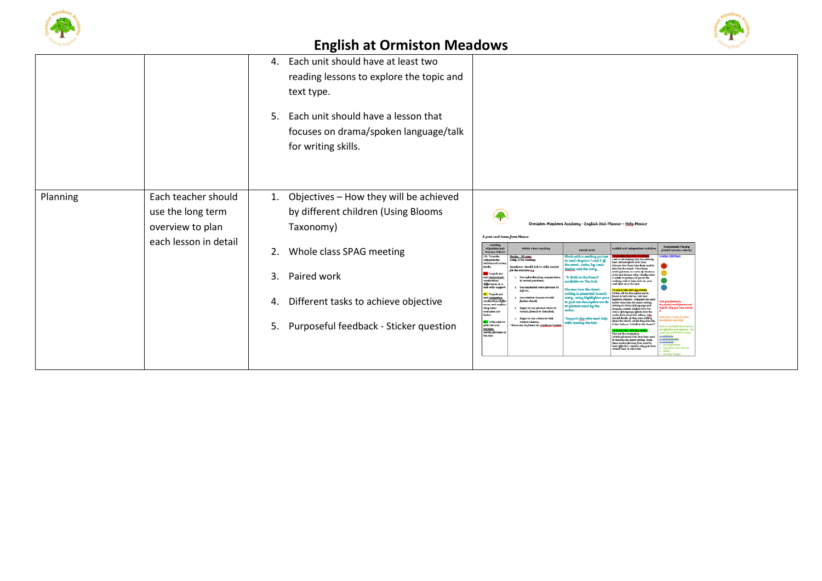



|                                                   | 4.<br>5.                    | Each unit should have at least two<br>reading lessons to explore the topic and<br>text type.<br>Each unit should have a lesson that<br>focuses on drama/spoken language/talk<br>for writing skills. |                                                                                                                                   |                                                                                                                                                                        |                                                                                                                                 |                                                                                                                                                                                                                                                                                                                                                               |                                                                                |
|---------------------------------------------------|-----------------------------|-----------------------------------------------------------------------------------------------------------------------------------------------------------------------------------------------------|-----------------------------------------------------------------------------------------------------------------------------------|------------------------------------------------------------------------------------------------------------------------------------------------------------------------|---------------------------------------------------------------------------------------------------------------------------------|---------------------------------------------------------------------------------------------------------------------------------------------------------------------------------------------------------------------------------------------------------------------------------------------------------------------------------------------------------------|--------------------------------------------------------------------------------|
| Planning<br>use the long term<br>overview to plan | Each teacher should<br>1.   | Objectives - How they will be achieved<br>by different children (Using Blooms<br>Taxonomy)                                                                                                          | A post card home from Mexico                                                                                                      |                                                                                                                                                                        | Ormiston Meadows Academy - English Unit Planner – Hola Mexico                                                                   |                                                                                                                                                                                                                                                                                                                                                               |                                                                                |
|                                                   | each lesson in detail<br>2. | Whole class SPAG meeting                                                                                                                                                                            | Learning<br>Objectives and<br>Success Criteria<br>LO: To make<br>:omparisons<br>within and acros<br>hooks                         | Whole Class Teaching<br>Starter - 10 mins<br>Daily SPAG meeting<br>Questions' should link                                                                              | Paired Work<br>Vork with a reading partn<br>to read chapters 1 and 2 of<br>he novel, <i>Holes</i> , by Loui<br>ar and the story | ided and Independent A<br>ook at vocabulary that has already<br>on retrieved from hoth texts.<br>cuss how these have been used<br>scribe the desert. Place these                                                                                                                                                                                              | Assessment/Plenary<br>Impisit success criteria<br><b>IINS EDITIN</b>           |
|                                                   | 3.                          | Paired work                                                                                                                                                                                         | <b>SC:</b> To pick out<br>and understand<br>similarities/<br>differences in a<br>text with suppor<br><mark>SC:</mark> To pick out | for the outcome e.g.<br>Use subordinating co<br>in varied positions,<br>Hse ean<br>inform.                                                                             | A Walk in the Desert'<br>ailable on The Hub<br>cuss how the desert<br>ina is presented in each                                  | ords/phrases in a zone of releva<br>irtle and discuss why. Finally select<br>words or phrases to put on the<br>verking wall to help with our post<br>ard later on in the unit.<br>collate all the descriptive words                                                                                                                                           |                                                                                |
|                                                   | 4.                          | Different tasks to achieve objective                                                                                                                                                                | and <u>categorise</u><br>similarities/diffe<br>ences and explai<br>why some<br>examples are<br>hetter<br>SC: To be able!          | Use relative clauses to ad<br>further detail,<br>Begin to use possive voice to<br>remain formal or detached,<br><b>Begin to use colons to link</b><br>related clauses. | ory, using highlighter p<br>pick out descriptive wo<br>uses used by the<br>upport cha who need hel<br>ith reading the text.     | ound in both stories, into two<br>parate columns. Compare how each<br>athor describes the desert setting,<br>autor eascnass to accert setting.<br>London and choice of language and<br>imagery created. Explain how the<br>choice of language affects how the<br>reader feels about the setting. Got,<br>should decide, if they were writing<br>about the des | i, ymur fawruni<br>riptive word/phrase a<br>ain why you have cho<br>m and wha? |
|                                                   | 5.                          | Purposeful feedback - Sticker question                                                                                                                                                              | pick out and<br>analyse<br>words/phruses i<br>the text                                                                            | hese can be found on Test                                                                                                                                              |                                                                                                                                 | it like <i>Holes</i> or 'A Walk in the Desert<br>Pick out the verabulary<br>(words/alvases) that have been used<br>to describe the desert setting. Rank<br>these words/phrases from most to<br>lenst effective - explain why you have<br>ranked them in this order.                                                                                           | commodos.<br><b>Existence</b>                                                  |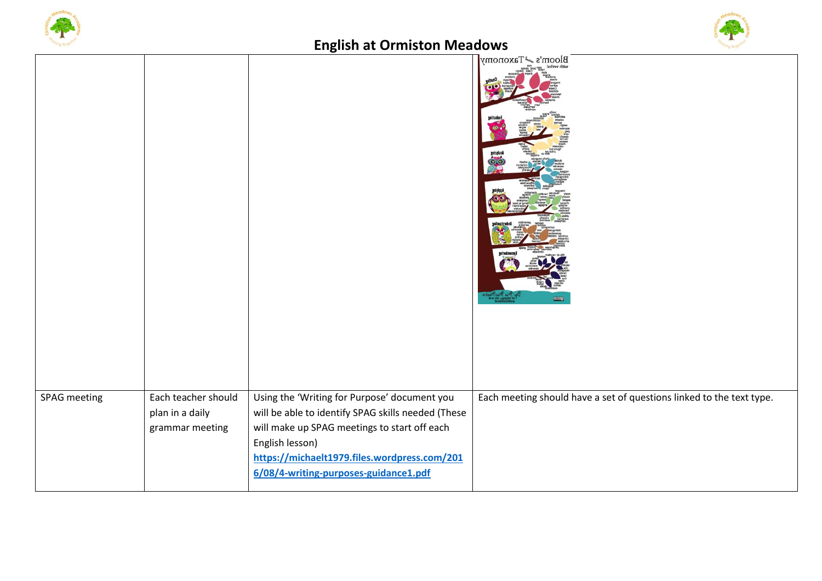



|              |                                                           | Ō                                                                                                                                                                                                                                                              |                                                                      |
|--------------|-----------------------------------------------------------|----------------------------------------------------------------------------------------------------------------------------------------------------------------------------------------------------------------------------------------------------------------|----------------------------------------------------------------------|
|              |                                                           |                                                                                                                                                                                                                                                                | Bloom's <a> <sub>s</sub></a> <sub>Maxonomy</sub><br>poore?           |
| SPAG meeting | Each teacher should<br>plan in a daily<br>grammar meeting | Using the 'Writing for Purpose' document you<br>will be able to identify SPAG skills needed (These<br>will make up SPAG meetings to start off each<br>English lesson)<br>https://michaelt1979.files.wordpress.com/201<br>6/08/4-writing-purposes-guidance1.pdf | Each meeting should have a set of questions linked to the text type. |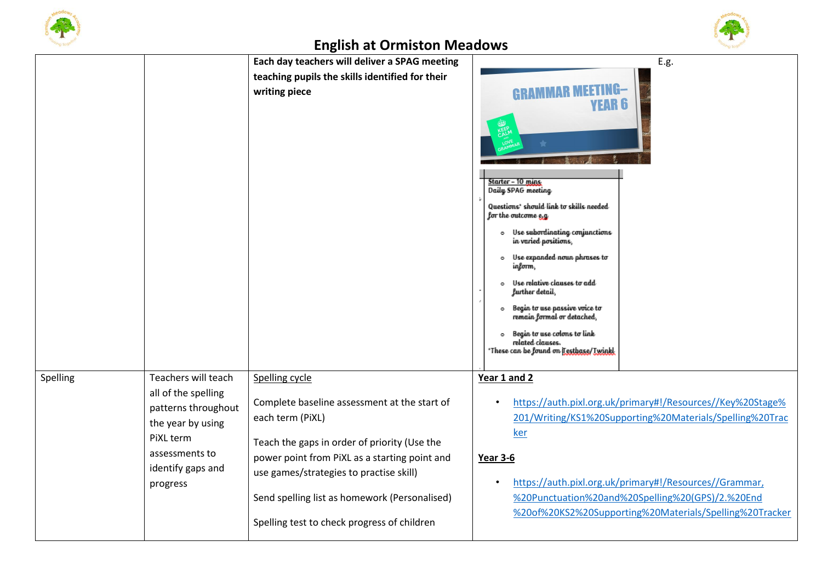

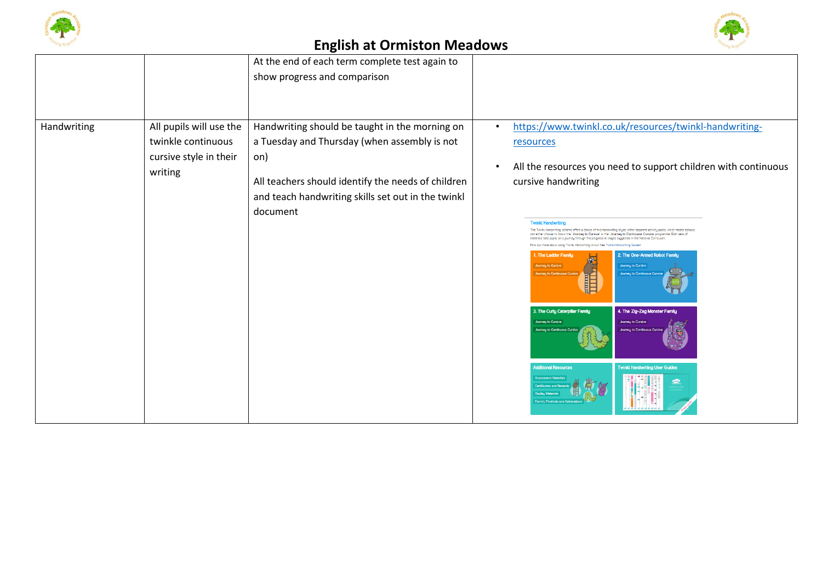



|                                                                                    | At the end of each term complete test again to                                                                                                                                                                                |                                                                                                                                                                                                                                                                                                                                                                                                                                                                                                                                                                                                                                                                                                                                                                                                                                                                                                                                                                                                                                                                 |
|------------------------------------------------------------------------------------|-------------------------------------------------------------------------------------------------------------------------------------------------------------------------------------------------------------------------------|-----------------------------------------------------------------------------------------------------------------------------------------------------------------------------------------------------------------------------------------------------------------------------------------------------------------------------------------------------------------------------------------------------------------------------------------------------------------------------------------------------------------------------------------------------------------------------------------------------------------------------------------------------------------------------------------------------------------------------------------------------------------------------------------------------------------------------------------------------------------------------------------------------------------------------------------------------------------------------------------------------------------------------------------------------------------|
|                                                                                    | show progress and comparison                                                                                                                                                                                                  |                                                                                                                                                                                                                                                                                                                                                                                                                                                                                                                                                                                                                                                                                                                                                                                                                                                                                                                                                                                                                                                                 |
|                                                                                    |                                                                                                                                                                                                                               |                                                                                                                                                                                                                                                                                                                                                                                                                                                                                                                                                                                                                                                                                                                                                                                                                                                                                                                                                                                                                                                                 |
|                                                                                    |                                                                                                                                                                                                                               |                                                                                                                                                                                                                                                                                                                                                                                                                                                                                                                                                                                                                                                                                                                                                                                                                                                                                                                                                                                                                                                                 |
| All pupils will use the<br>twinkle continuous<br>cursive style in their<br>writing | Handwriting should be taught in the morning on<br>a Tuesday and Thursday (when assembly is not<br>on)<br>All teachers should identify the needs of children<br>and teach handwriting skills set out in the twinkl<br>document | https://www.twinkl.co.uk/resources/twinkl-handwriting-<br>$\bullet$<br>resources<br>All the resources you need to support children with continuous<br>cursive handwriting<br><b>Twinkl Handwriting</b><br>The Twinki Handwriting scheme offers a choice of two handwriting styles within separate activity packs, which means schools<br>can either choose to follow the 'Journey to Cursive' or the 'Journey to Continuous Cursive' programme. Both sets of<br>materials take pupils on a journey through the progressive stages suggested in the National Curriculum<br>Find out more about using Twinki Handwriting in our free Twinki Handwriting Guides!<br>1. The Ladder Family<br>2. The One-Armed Robot Family<br><b>Journey to Cursive</b><br><b>Journey to Cursive</b><br><b>THE REAL</b><br><b>Journey to Continuous Cursi</b><br>Journeu to Continuous Cursivi<br>3. The Curly Caterpillar Family<br>4. The Zig-Zag Monster Family<br><b>Journey to Cursive</b><br><b>Journey to Cursive</b><br><b>Journey to Continuous Cur</b><br>lourneu to Cont |
|                                                                                    |                                                                                                                                                                                                                               | <b>Additional Resources</b><br><b>Twinkl Handwriting User Guides</b><br><b>COLOR</b>                                                                                                                                                                                                                                                                                                                                                                                                                                                                                                                                                                                                                                                                                                                                                                                                                                                                                                                                                                            |
|                                                                                    |                                                                                                                                                                                                                               |                                                                                                                                                                                                                                                                                                                                                                                                                                                                                                                                                                                                                                                                                                                                                                                                                                                                                                                                                                                                                                                                 |